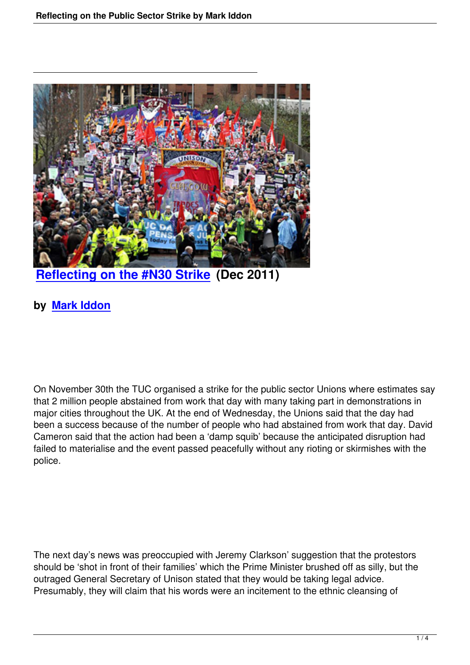

**Reflecting on the #N30 Strike (Dec 2011)**

## **[by Mark Iddon](reflections-on-the-public-sector-strike-by-mark-iddon.html)**

On November 30th the TUC organised a strike for the public sector Unions where estimates say that 2 million people abstained from work that day with many taking part in demonstrations in major cities throughout the UK. At the end of Wednesday, the Unions said that the day had been a success because of the number of people who had abstained from work that day. David Cameron said that the action had been a 'damp squib' because the anticipated disruption had failed to materialise and the event passed peacefully without any rioting or skirmishes with the police.

The next day's news was preoccupied with Jeremy Clarkson' suggestion that the protestors should be 'shot in front of their families' which the Prime Minister brushed off as silly, but the outraged General Secretary of Unison stated that they would be taking legal advice. Presumably, they will claim that his words were an incitement to the ethnic cleansing of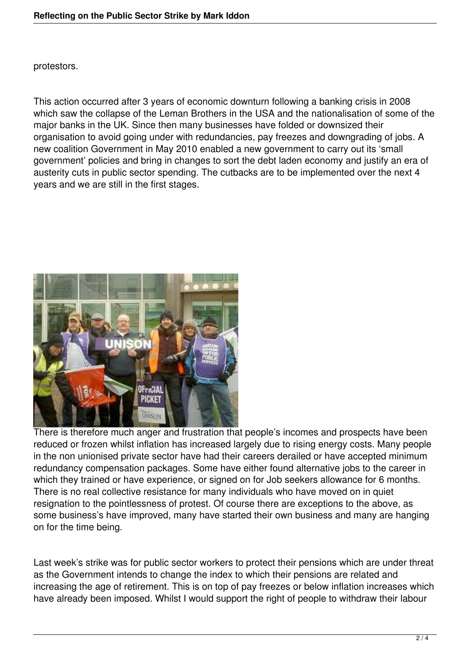protestors.

This action occurred after 3 years of economic downturn following a banking crisis in 2008 which saw the collapse of the Leman Brothers in the USA and the nationalisation of some of the major banks in the UK. Since then many businesses have folded or downsized their organisation to avoid going under with redundancies, pay freezes and downgrading of jobs. A new coalition Government in May 2010 enabled a new government to carry out its 'small government' policies and bring in changes to sort the debt laden economy and justify an era of austerity cuts in public sector spending. The cutbacks are to be implemented over the next 4 years and we are still in the first stages.



There is therefore much anger and frustration that people's incomes and prospects have been reduced or frozen whilst inflation has increased largely due to rising energy costs. Many people in the non unionised private sector have had their careers derailed or have accepted minimum redundancy compensation packages. Some have either found alternative jobs to the career in which they trained or have experience, or signed on for Job seekers allowance for 6 months. There is no real collective resistance for many individuals who have moved on in quiet resignation to the pointlessness of protest. Of course there are exceptions to the above, as some business's have improved, many have started their own business and many are hanging on for the time being.

Last week's strike was for public sector workers to protect their pensions which are under threat as the Government intends to change the index to which their pensions are related and increasing the age of retirement. This is on top of pay freezes or below inflation increases which have already been imposed. Whilst I would support the right of people to withdraw their labour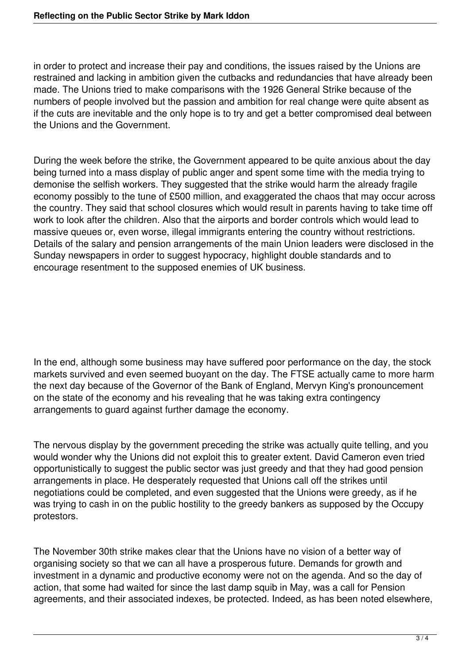in order to protect and increase their pay and conditions, the issues raised by the Unions are restrained and lacking in ambition given the cutbacks and redundancies that have already been made. The Unions tried to make comparisons with the 1926 General Strike because of the numbers of people involved but the passion and ambition for real change were quite absent as if the cuts are inevitable and the only hope is to try and get a better compromised deal between the Unions and the Government.

During the week before the strike, the Government appeared to be quite anxious about the day being turned into a mass display of public anger and spent some time with the media trying to demonise the selfish workers. They suggested that the strike would harm the already fragile economy possibly to the tune of £500 million, and exaggerated the chaos that may occur across the country. They said that school closures which would result in parents having to take time off work to look after the children. Also that the airports and border controls which would lead to massive queues or, even worse, illegal immigrants entering the country without restrictions. Details of the salary and pension arrangements of the main Union leaders were disclosed in the Sunday newspapers in order to suggest hypocracy, highlight double standards and to encourage resentment to the supposed enemies of UK business.

In the end, although some business may have suffered poor performance on the day, the stock markets survived and even seemed buoyant on the day. The FTSE actually came to more harm the next day because of the Governor of the Bank of England, Mervyn King's pronouncement on the state of the economy and his revealing that he was taking extra contingency arrangements to guard against further damage the economy.

The nervous display by the government preceding the strike was actually quite telling, and you would wonder why the Unions did not exploit this to greater extent. David Cameron even tried opportunistically to suggest the public sector was just greedy and that they had good pension arrangements in place. He desperately requested that Unions call off the strikes until negotiations could be completed, and even suggested that the Unions were greedy, as if he was trying to cash in on the public hostility to the greedy bankers as supposed by the Occupy protestors.

The November 30th strike makes clear that the Unions have no vision of a better way of organising society so that we can all have a prosperous future. Demands for growth and investment in a dynamic and productive economy were not on the agenda. And so the day of action, that some had waited for since the last damp squib in May, was a call for Pension agreements, and their associated indexes, be protected. Indeed, as has been noted elsewhere,